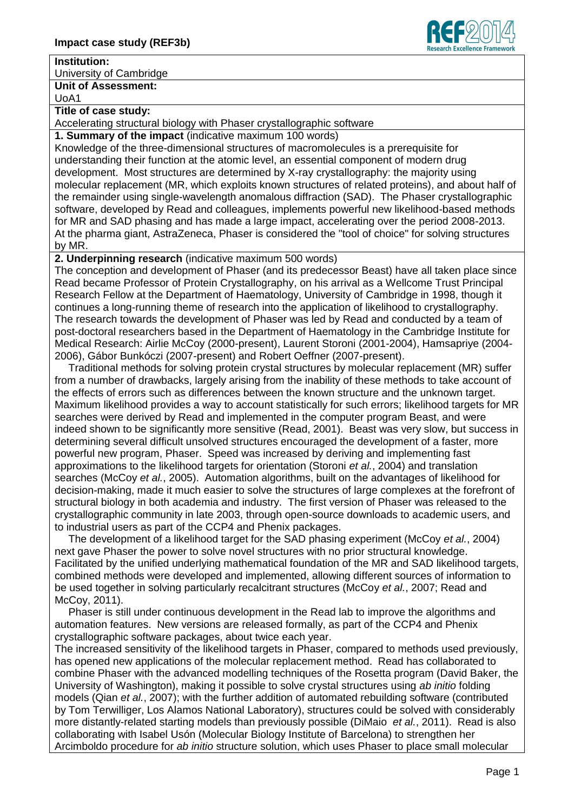## **Institution:**

University of Cambridge

**Unit of Assessment:** UoA1

## **Title of case study:**

Accelerating structural biology with Phaser crystallographic software

**1. Summary of the impact** (indicative maximum 100 words)

Knowledge of the three-dimensional structures of macromolecules is a prerequisite for understanding their function at the atomic level, an essential component of modern drug development. Most structures are determined by X-ray crystallography: the majority using molecular replacement (MR, which exploits known structures of related proteins), and about half of the remainder using single-wavelength anomalous diffraction (SAD). The Phaser crystallographic software, developed by Read and colleagues, implements powerful new likelihood-based methods for MR and SAD phasing and has made a large impact, accelerating over the period 2008-2013. At the pharma giant, AstraZeneca, Phaser is considered the "tool of choice" for solving structures by MR.

**2. Underpinning research** (indicative maximum 500 words)

The conception and development of Phaser (and its predecessor Beast) have all taken place since Read became Professor of Protein Crystallography, on his arrival as a Wellcome Trust Principal Research Fellow at the Department of Haematology, University of Cambridge in 1998, though it continues a long-running theme of research into the application of likelihood to crystallography. The research towards the development of Phaser was led by Read and conducted by a team of post-doctoral researchers based in the Department of Haematology in the Cambridge Institute for Medical Research: Airlie McCoy (2000-present), Laurent Storoni (2001-2004), Hamsapriye (2004- 2006), Gábor Bunkóczi (2007-present) and Robert Oeffner (2007-present).

Traditional methods for solving protein crystal structures by molecular replacement (MR) suffer from a number of drawbacks, largely arising from the inability of these methods to take account of the effects of errors such as differences between the known structure and the unknown target. Maximum likelihood provides a way to account statistically for such errors; likelihood targets for MR searches were derived by Read and implemented in the computer program Beast, and were indeed shown to be significantly more sensitive (Read, 2001). Beast was very slow, but success in determining several difficult unsolved structures encouraged the development of a faster, more powerful new program, Phaser. Speed was increased by deriving and implementing fast approximations to the likelihood targets for orientation (Storoni *et al.*, 2004) and translation searches (McCoy *et al.*, 2005). Automation algorithms, built on the advantages of likelihood for decision-making, made it much easier to solve the structures of large complexes at the forefront of structural biology in both academia and industry. The first version of Phaser was released to the crystallographic community in late 2003, through open-source downloads to academic users, and to industrial users as part of the CCP4 and Phenix packages.

The development of a likelihood target for the SAD phasing experiment (McCoy *et al.*, 2004) next gave Phaser the power to solve novel structures with no prior structural knowledge. Facilitated by the unified underlying mathematical foundation of the MR and SAD likelihood targets, combined methods were developed and implemented, allowing different sources of information to be used together in solving particularly recalcitrant structures (McCoy *et al.*, 2007; Read and McCoy, 2011).

Phaser is still under continuous development in the Read lab to improve the algorithms and automation features. New versions are released formally, as part of the CCP4 and Phenix crystallographic software packages, about twice each year.

The increased sensitivity of the likelihood targets in Phaser, compared to methods used previously, has opened new applications of the molecular replacement method. Read has collaborated to combine Phaser with the advanced modelling techniques of the Rosetta program (David Baker, the University of Washington), making it possible to solve crystal structures using *ab initio* folding models (Qian *et al.*, 2007); with the further addition of automated rebuilding software (contributed by Tom Terwilliger, Los Alamos National Laboratory), structures could be solved with considerably more distantly-related starting models than previously possible (DiMaio *et al.*, 2011). Read is also collaborating with Isabel Usón (Molecular Biology Institute of Barcelona) to strengthen her Arcimboldo procedure for *ab initio* structure solution, which uses Phaser to place small molecular

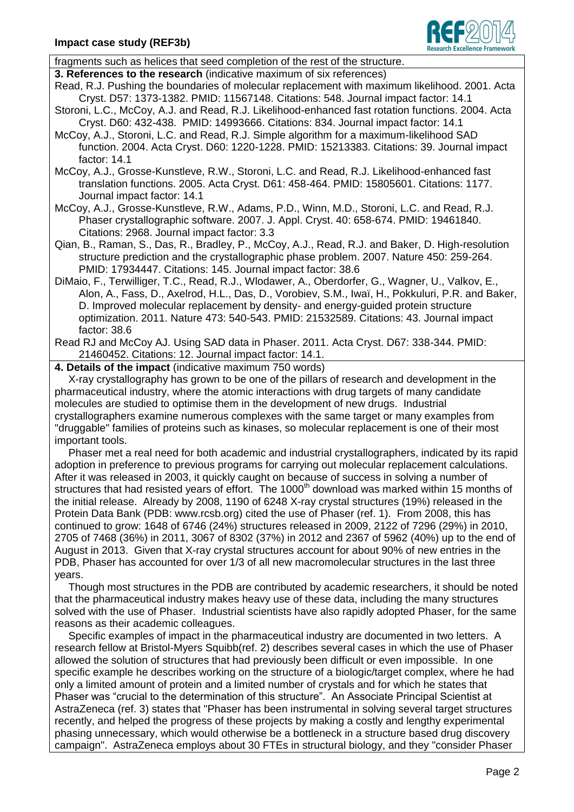

fragments such as helices that seed completion of the rest of the structure.

**3. References to the research** (indicative maximum of six references)

- Read, R.J. Pushing the boundaries of molecular replacement with maximum likelihood. 2001. Acta Cryst. D57: 1373-1382. PMID: 11567148. Citations: 548. Journal impact factor: 14.1
- Storoni, L.C., McCoy, A.J. and Read, R.J. Likelihood-enhanced fast rotation functions. 2004. Acta Cryst. D60: 432-438. PMID: 14993666. Citations: 834. Journal impact factor: 14.1
- McCoy, A.J., Storoni, L.C. and Read, R.J. Simple algorithm for a maximum-likelihood SAD function. 2004. Acta Cryst. D60: 1220-1228. PMID: 15213383. Citations: 39. Journal impact factor: 14.1
- McCoy, A.J., Grosse-Kunstleve, R.W., Storoni, L.C. and Read, R.J. Likelihood-enhanced fast translation functions. 2005. Acta Cryst. D61: 458-464. PMID: 15805601. Citations: 1177. Journal impact factor: 14.1
- McCoy, A.J., Grosse-Kunstleve, R.W., Adams, P.D., Winn, M.D., Storoni, L.C. and Read, R.J. Phaser crystallographic software. 2007. J. Appl. Cryst. 40: 658-674. PMID: 19461840. Citations: 2968. Journal impact factor: 3.3
- Qian, B., Raman, S., Das, R., Bradley, P., McCoy, A.J., Read, R.J. and Baker, D. High-resolution structure prediction and the crystallographic phase problem. 2007. Nature 450: 259-264. PMID: 17934447. Citations: 145. Journal impact factor: 38.6
- DiMaio, F., Terwilliger, T.C., Read, R.J., Wlodawer, A., Oberdorfer, G., Wagner, U., Valkov, E., Alon, A., Fass, D., Axelrod, H.L., Das, D., Vorobiev, S.M., Iwaï, H., Pokkuluri, P.R. and Baker, D. Improved molecular replacement by density- and energy-guided protein structure optimization. 2011. Nature 473: 540-543. PMID: 21532589. Citations: 43. Journal impact factor: 38.6
- Read RJ and McCoy AJ. Using SAD data in Phaser. 2011. Acta Cryst. D67: 338-344. PMID: 21460452. Citations: 12. Journal impact factor: 14.1.

**4. Details of the impact** (indicative maximum 750 words)

X-ray crystallography has grown to be one of the pillars of research and development in the pharmaceutical industry, where the atomic interactions with drug targets of many candidate molecules are studied to optimise them in the development of new drugs. Industrial crystallographers examine numerous complexes with the same target or many examples from "druggable" families of proteins such as kinases, so molecular replacement is one of their most important tools.

Phaser met a real need for both academic and industrial crystallographers, indicated by its rapid adoption in preference to previous programs for carrying out molecular replacement calculations. After it was released in 2003, it quickly caught on because of success in solving a number of structures that had resisted years of effort. The 1000<sup>th</sup> download was marked within 15 months of the initial release. Already by 2008, 1190 of 6248 X-ray crystal structures (19%) released in the Protein Data Bank (PDB: www.rcsb.org) cited the use of Phaser (ref. 1). From 2008, this has continued to grow: 1648 of 6746 (24%) structures released in 2009, 2122 of 7296 (29%) in 2010, 2705 of 7468 (36%) in 2011, 3067 of 8302 (37%) in 2012 and 2367 of 5962 (40%) up to the end of August in 2013. Given that X-ray crystal structures account for about 90% of new entries in the PDB, Phaser has accounted for over 1/3 of all new macromolecular structures in the last three years.

Though most structures in the PDB are contributed by academic researchers, it should be noted that the pharmaceutical industry makes heavy use of these data, including the many structures solved with the use of Phaser. Industrial scientists have also rapidly adopted Phaser, for the same reasons as their academic colleagues.

Specific examples of impact in the pharmaceutical industry are documented in two letters. A research fellow at Bristol-Myers Squibb(ref. 2) describes several cases in which the use of Phaser allowed the solution of structures that had previously been difficult or even impossible. In one specific example he describes working on the structure of a biologic/target complex, where he had only a limited amount of protein and a limited number of crystals and for which he states that Phaser was "crucial to the determination of this structure". An Associate Principal Scientist at AstraZeneca (ref. 3) states that "Phaser has been instrumental in solving several target structures recently, and helped the progress of these projects by making a costly and lengthy experimental phasing unnecessary, which would otherwise be a bottleneck in a structure based drug discovery campaign". AstraZeneca employs about 30 FTEs in structural biology, and they "consider Phaser